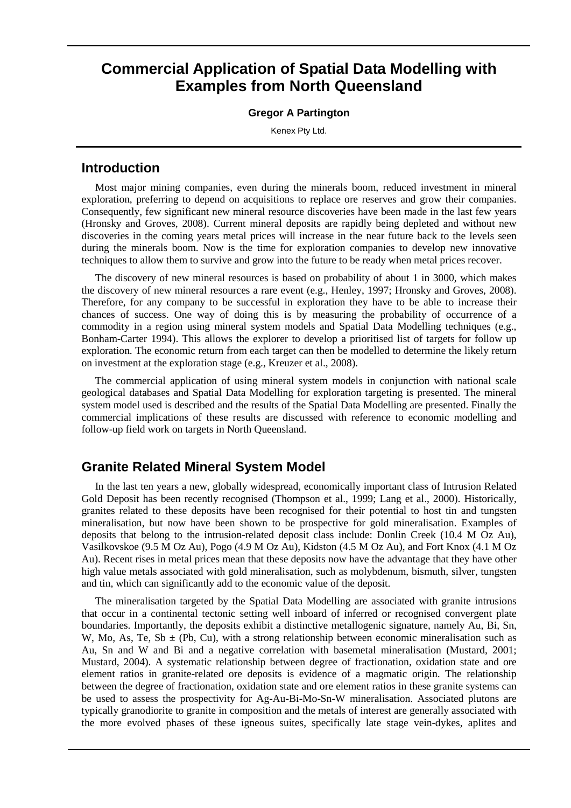# **Commercial Application of Spatial Data Modelling with Examples from North Queensland**

#### **Gregor A Partington**

Kenex Pty Ltd.

### **Introduction**

Most major mining companies, even during the minerals boom, reduced investment in mineral exploration, preferring to depend on acquisitions to replace ore reserves and grow their companies. Consequently, few significant new mineral resource discoveries have been made in the last few years (Hronsky and Groves, 2008). Current mineral deposits are rapidly being depleted and without new discoveries in the coming years metal prices will increase in the near future back to the levels seen during the minerals boom. Now is the time for exploration companies to develop new innovative techniques to allow them to survive and grow into the future to be ready when metal prices recover.

The discovery of new mineral resources is based on probability of about 1 in 3000, which makes the discovery of new mineral resources a rare event (e.g., Henley, 1997; Hronsky and Groves, 2008). Therefore, for any company to be successful in exploration they have to be able to increase their chances of success. One way of doing this is by measuring the probability of occurrence of a commodity in a region using mineral system models and Spatial Data Modelling techniques (e.g., Bonham-Carter 1994). This allows the explorer to develop a prioritised list of targets for follow up exploration. The economic return from each target can then be modelled to determine the likely return on investment at the exploration stage (e.g., Kreuzer et al., 2008).

The commercial application of using mineral system models in conjunction with national scale geological databases and Spatial Data Modelling for exploration targeting is presented. The mineral system model used is described and the results of the Spatial Data Modelling are presented. Finally the commercial implications of these results are discussed with reference to economic modelling and follow-up field work on targets in North Queensland.

### **Granite Related Mineral System Model**

In the last ten years a new, globally widespread, economically important class of Intrusion Related Gold Deposit has been recently recognised (Thompson et al., 1999; Lang et al., 2000). Historically, granites related to these deposits have been recognised for their potential to host tin and tungsten mineralisation, but now have been shown to be prospective for gold mineralisation. Examples of deposits that belong to the intrusion-related deposit class include: Donlin Creek (10.4 M Oz Au), Vasilkovskoe (9.5 M Oz Au), Pogo (4.9 M Oz Au), Kidston (4.5 M Oz Au), and Fort Knox (4.1 M Oz Au). Recent rises in metal prices mean that these deposits now have the advantage that they have other high value metals associated with gold mineralisation, such as molybdenum, bismuth, silver, tungsten and tin, which can significantly add to the economic value of the deposit.

The mineralisation targeted by the Spatial Data Modelling are associated with granite intrusions that occur in a continental tectonic setting well inboard of inferred or recognised convergent plate boundaries. Importantly, the deposits exhibit a distinctive metallogenic signature, namely Au, Bi, Sn, W, Mo, As, Te, Sb  $\pm$  (Pb, Cu), with a strong relationship between economic mineralisation such as Au, Sn and W and Bi and a negative correlation with basemetal mineralisation (Mustard, 2001; Mustard, 2004). A systematic relationship between degree of fractionation, oxidation state and ore element ratios in granite-related ore deposits is evidence of a magmatic origin. The relationship between the degree of fractionation, oxidation state and ore element ratios in these granite systems can be used to assess the prospectivity for Ag-Au-Bi-Mo-Sn-W mineralisation. Associated plutons are typically granodiorite to granite in composition and the metals of interest are generally associated with the more evolved phases of these igneous suites, specifically late stage vein-dykes, aplites and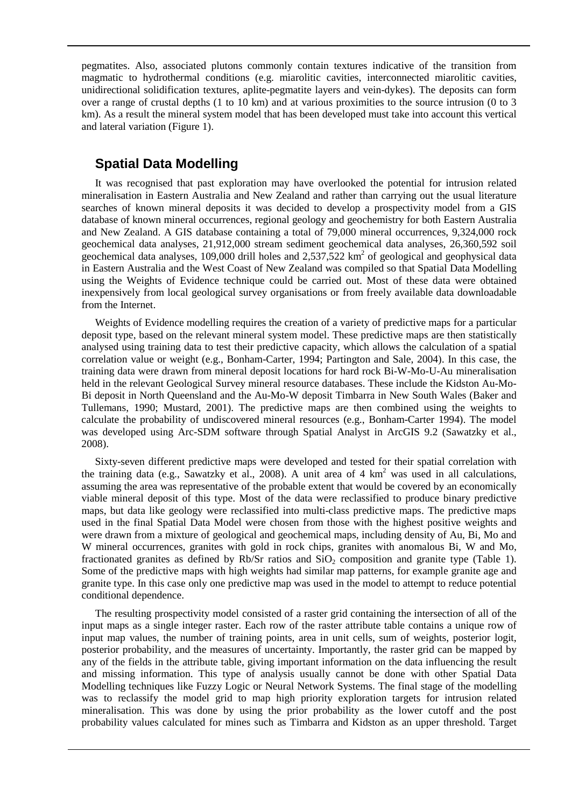pegmatites. Also, associated plutons commonly contain textures indicative of the transition from magmatic to hydrothermal conditions (e.g. miarolitic cavities, interconnected miarolitic cavities, unidirectional solidification textures, aplite-pegmatite layers and vein-dykes). The deposits can form over a range of crustal depths (1 to 10 km) and at various proximities to the source intrusion (0 to 3 km). As a result the mineral system model that has been developed must take into account this vertical and lateral variation (Figure 1).

### **Spatial Data Modelling**

It was recognised that past exploration may have overlooked the potential for intrusion related mineralisation in Eastern Australia and New Zealand and rather than carrying out the usual literature searches of known mineral deposits it was decided to develop a prospectivity model from a GIS database of known mineral occurrences, regional geology and geochemistry for both Eastern Australia and New Zealand. A GIS database containing a total of 79,000 mineral occurrences, 9,324,000 rock geochemical data analyses, 21,912,000 stream sediment geochemical data analyses, 26,360,592 soil geochemical data analyses,  $109,000$  drill holes and  $2,537,522$  km<sup>2</sup> of geological and geophysical data in Eastern Australia and the West Coast of New Zealand was compiled so that Spatial Data Modelling using the Weights of Evidence technique could be carried out. Most of these data were obtained inexpensively from local geological survey organisations or from freely available data downloadable from the Internet.

Weights of Evidence modelling requires the creation of a variety of predictive maps for a particular deposit type, based on the relevant mineral system model. These predictive maps are then statistically analysed using training data to test their predictive capacity, which allows the calculation of a spatial correlation value or weight (e.g., Bonham-Carter, 1994; Partington and Sale, 2004). In this case, the training data were drawn from mineral deposit locations for hard rock Bi-W-Mo-U-Au mineralisation held in the relevant Geological Survey mineral resource databases. These include the Kidston Au-Mo-Bi deposit in North Queensland and the Au-Mo-W deposit Timbarra in New South Wales (Baker and Tullemans, 1990; Mustard, 2001). The predictive maps are then combined using the weights to calculate the probability of undiscovered mineral resources (e.g., Bonham-Carter 1994). The model was developed using Arc-SDM software through Spatial Analyst in ArcGIS 9.2 (Sawatzky et al., 2008).

Sixty-seven different predictive maps were developed and tested for their spatial correlation with the training data (e.g., Sawatzky et al., 2008). A unit area of 4 km<sup>2</sup> was used in all calculations, assuming the area was representative of the probable extent that would be covered by an economically viable mineral deposit of this type. Most of the data were reclassified to produce binary predictive maps, but data like geology were reclassified into multi-class predictive maps. The predictive maps used in the final Spatial Data Model were chosen from those with the highest positive weights and were drawn from a mixture of geological and geochemical maps, including density of Au, Bi, Mo and W mineral occurrences, granites with gold in rock chips, granites with anomalous Bi, W and Mo, fractionated granites as defined by Rb/Sr ratios and  $SiO<sub>2</sub>$  composition and granite type (Table 1). Some of the predictive maps with high weights had similar map patterns, for example granite age and granite type. In this case only one predictive map was used in the model to attempt to reduce potential conditional dependence.

The resulting prospectivity model consisted of a raster grid containing the intersection of all of the input maps as a single integer raster. Each row of the raster attribute table contains a unique row of input map values, the number of training points, area in unit cells, sum of weights, posterior logit, posterior probability, and the measures of uncertainty. Importantly, the raster grid can be mapped by any of the fields in the attribute table, giving important information on the data influencing the result and missing information. This type of analysis usually cannot be done with other Spatial Data Modelling techniques like Fuzzy Logic or Neural Network Systems. The final stage of the modelling was to reclassify the model grid to map high priority exploration targets for intrusion related mineralisation. This was done by using the prior probability as the lower cutoff and the post probability values calculated for mines such as Timbarra and Kidston as an upper threshold. Target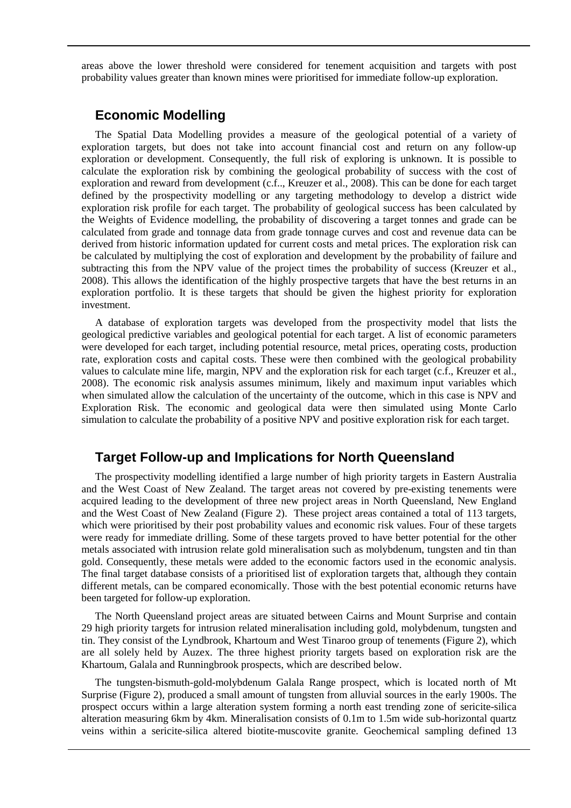areas above the lower threshold were considered for tenement acquisition and targets with post probability values greater than known mines were prioritised for immediate follow-up exploration.

#### **Economic Modelling**

The Spatial Data Modelling provides a measure of the geological potential of a variety of exploration targets, but does not take into account financial cost and return on any follow-up exploration or development. Consequently, the full risk of exploring is unknown. It is possible to calculate the exploration risk by combining the geological probability of success with the cost of exploration and reward from development (c.f.., Kreuzer et al., 2008). This can be done for each target defined by the prospectivity modelling or any targeting methodology to develop a district wide exploration risk profile for each target. The probability of geological success has been calculated by the Weights of Evidence modelling, the probability of discovering a target tonnes and grade can be calculated from grade and tonnage data from grade tonnage curves and cost and revenue data can be derived from historic information updated for current costs and metal prices. The exploration risk can be calculated by multiplying the cost of exploration and development by the probability of failure and subtracting this from the NPV value of the project times the probability of success (Kreuzer et al., 2008). This allows the identification of the highly prospective targets that have the best returns in an exploration portfolio. It is these targets that should be given the highest priority for exploration investment.

A database of exploration targets was developed from the prospectivity model that lists the geological predictive variables and geological potential for each target. A list of economic parameters were developed for each target, including potential resource, metal prices, operating costs, production rate, exploration costs and capital costs. These were then combined with the geological probability values to calculate mine life, margin, NPV and the exploration risk for each target (c.f., Kreuzer et al., 2008). The economic risk analysis assumes minimum, likely and maximum input variables which when simulated allow the calculation of the uncertainty of the outcome, which in this case is NPV and Exploration Risk. The economic and geological data were then simulated using Monte Carlo simulation to calculate the probability of a positive NPV and positive exploration risk for each target.

### **Target Follow-up and Implications for North Queensland**

The prospectivity modelling identified a large number of high priority targets in Eastern Australia and the West Coast of New Zealand. The target areas not covered by pre-existing tenements were acquired leading to the development of three new project areas in North Queensland, New England and the West Coast of New Zealand (Figure 2). These project areas contained a total of 113 targets, which were prioritised by their post probability values and economic risk values. Four of these targets were ready for immediate drilling. Some of these targets proved to have better potential for the other metals associated with intrusion relate gold mineralisation such as molybdenum, tungsten and tin than gold. Consequently, these metals were added to the economic factors used in the economic analysis. The final target database consists of a prioritised list of exploration targets that, although they contain different metals, can be compared economically. Those with the best potential economic returns have been targeted for follow-up exploration.

The North Queensland project areas are situated between Cairns and Mount Surprise and contain 29 high priority targets for intrusion related mineralisation including gold, molybdenum, tungsten and tin. They consist of the Lyndbrook, Khartoum and West Tinaroo group of tenements (Figure 2), which are all solely held by Auzex. The three highest priority targets based on exploration risk are the Khartoum, Galala and Runningbrook prospects, which are described below.

The tungsten-bismuth-gold-molybdenum Galala Range prospect, which is located north of Mt Surprise (Figure 2), produced a small amount of tungsten from alluvial sources in the early 1900s. The prospect occurs within a large alteration system forming a north east trending zone of sericite-silica alteration measuring 6km by 4km. Mineralisation consists of 0.1m to 1.5m wide sub-horizontal quartz veins within a sericite-silica altered biotite-muscovite granite. Geochemical sampling defined 13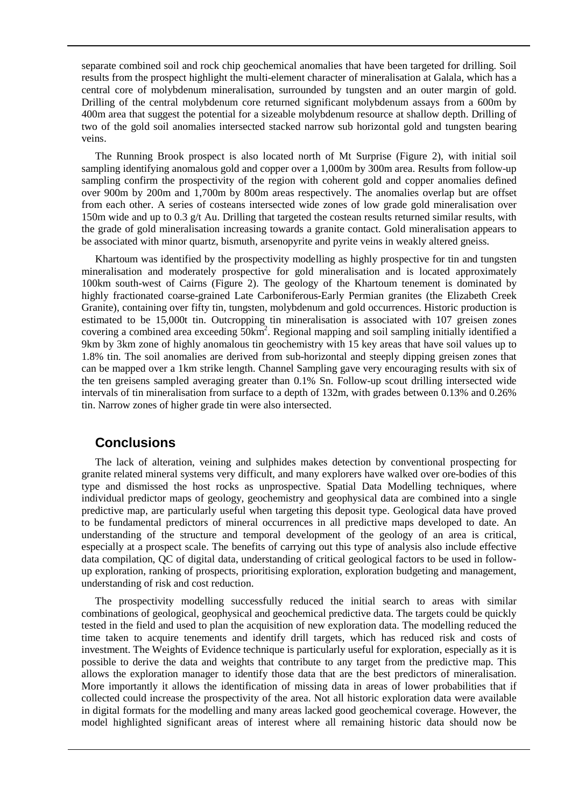separate combined soil and rock chip geochemical anomalies that have been targeted for drilling. Soil results from the prospect highlight the multi-element character of mineralisation at Galala, which has a central core of molybdenum mineralisation, surrounded by tungsten and an outer margin of gold. Drilling of the central molybdenum core returned significant molybdenum assays from a 600m by 400m area that suggest the potential for a sizeable molybdenum resource at shallow depth. Drilling of two of the gold soil anomalies intersected stacked narrow sub horizontal gold and tungsten bearing veins.

The Running Brook prospect is also located north of Mt Surprise (Figure 2), with initial soil sampling identifying anomalous gold and copper over a 1,000m by 300m area. Results from follow-up sampling confirm the prospectivity of the region with coherent gold and copper anomalies defined over 900m by 200m and 1,700m by 800m areas respectively. The anomalies overlap but are offset from each other. A series of costeans intersected wide zones of low grade gold mineralisation over 150m wide and up to 0.3  $g/t$  Au. Drilling that targeted the costean results returned similar results, with the grade of gold mineralisation increasing towards a granite contact. Gold mineralisation appears to be associated with minor quartz, bismuth, arsenopyrite and pyrite veins in weakly altered gneiss.

Khartoum was identified by the prospectivity modelling as highly prospective for tin and tungsten mineralisation and moderately prospective for gold mineralisation and is located approximately 100km south-west of Cairns (Figure 2). The geology of the Khartoum tenement is dominated by highly fractionated coarse-grained Late Carboniferous-Early Permian granites (the Elizabeth Creek Granite), containing over fifty tin, tungsten, molybdenum and gold occurrences. Historic production is estimated to be 15,000t tin. Outcropping tin mineralisation is associated with 107 greisen zones covering a combined area exceeding 50km<sup>2</sup>. Regional mapping and soil sampling initially identified a 9km by 3km zone of highly anomalous tin geochemistry with 15 key areas that have soil values up to 1.8% tin. The soil anomalies are derived from sub-horizontal and steeply dipping greisen zones that can be mapped over a 1km strike length. Channel Sampling gave very encouraging results with six of the ten greisens sampled averaging greater than 0.1% Sn. Follow-up scout drilling intersected wide intervals of tin mineralisation from surface to a depth of 132m, with grades between 0.13% and 0.26% tin. Narrow zones of higher grade tin were also intersected.

#### **Conclusions**

The lack of alteration, veining and sulphides makes detection by conventional prospecting for granite related mineral systems very difficult, and many explorers have walked over ore-bodies of this type and dismissed the host rocks as unprospective. Spatial Data Modelling techniques, where individual predictor maps of geology, geochemistry and geophysical data are combined into a single predictive map, are particularly useful when targeting this deposit type. Geological data have proved to be fundamental predictors of mineral occurrences in all predictive maps developed to date. An understanding of the structure and temporal development of the geology of an area is critical, especially at a prospect scale. The benefits of carrying out this type of analysis also include effective data compilation, QC of digital data, understanding of critical geological factors to be used in followup exploration, ranking of prospects, prioritising exploration, exploration budgeting and management, understanding of risk and cost reduction.

The prospectivity modelling successfully reduced the initial search to areas with similar combinations of geological, geophysical and geochemical predictive data. The targets could be quickly tested in the field and used to plan the acquisition of new exploration data. The modelling reduced the time taken to acquire tenements and identify drill targets, which has reduced risk and costs of investment. The Weights of Evidence technique is particularly useful for exploration, especially as it is possible to derive the data and weights that contribute to any target from the predictive map. This allows the exploration manager to identify those data that are the best predictors of mineralisation. More importantly it allows the identification of missing data in areas of lower probabilities that if collected could increase the prospectivity of the area. Not all historic exploration data were available in digital formats for the modelling and many areas lacked good geochemical coverage. However, the model highlighted significant areas of interest where all remaining historic data should now be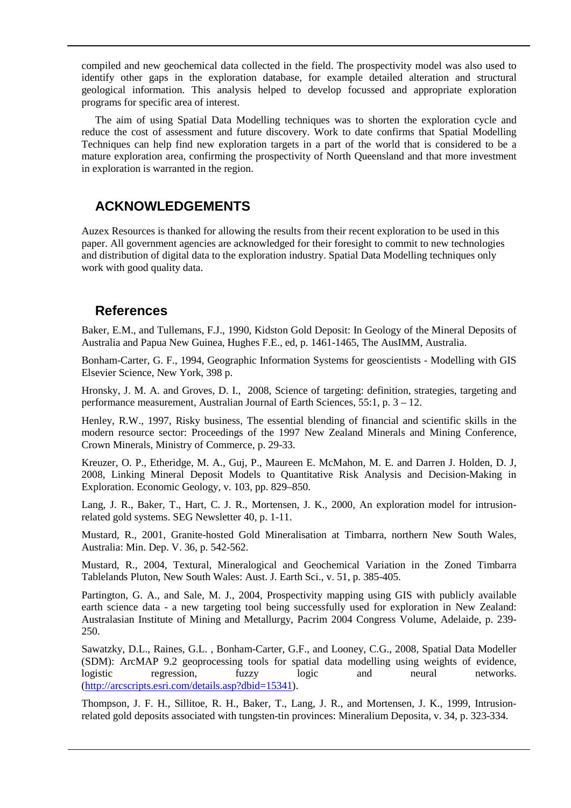compiled and new geochemical data collected in the field. The prospectivity model was also used to identify other gaps in the exploration database, for example detailed alteration and structural geological information. This analysis helped to develop focussed and appropriate exploration programs for specific area of interest.

The aim of using Spatial Data Modelling techniques was to shorten the exploration cycle and reduce the cost of assessment and future discovery. Work to date confirms that Spatial Modelling Techniques can help find new exploration targets in a part of the world that is considered to be a mature exploration area, confirming the prospectivity of North Queensland and that more investment in exploration is warranted in the region.

## **ACKNOWLEDGEMENTS**

Auzex Resources is thanked for allowing the results from their recent exploration to be used in this paper. All government agencies are acknowledged for their foresight to commit to new technologies and distribution of digital data to the exploration industry. Spatial Data Modelling techniques only work with good quality data.

## **References**

Baker, E.M., and Tullemans, F.J., 1990, Kidston Gold Deposit: In Geology of the Mineral Deposits of Australia and Papua New Guinea, Hughes F.E., ed, p. 1461-1465, The AusIMM, Australia.

Bonham-Carter, G. F., 1994, Geographic Information Systems for geoscientists - Modelling with GIS Elsevier Science, New York, 398 p.

Hronsky, J. M. A. and Groves, D. I., 2008, Science of targeting: definition, strategies, targeting and performance measurement, Australian Journal of Earth Sciences, 55:1, p. 3 – 12.

Henley, R.W., 1997, Risky business, The essential blending of financial and scientific skills in the modern resource sector: Proceedings of the 1997 New Zealand Minerals and Mining Conference, Crown Minerals, Ministry of Commerce, p. 29-33.

Kreuzer, O. P., Etheridge, M. A., Guj, P., Maureen E. McMahon, M. E. and Darren J. Holden, D. J, 2008, Linking Mineral Deposit Models to Quantitative Risk Analysis and Decision-Making in Exploration. Economic Geology, v. 103, pp. 829–850.

Lang, J. R., Baker, T., Hart, C. J. R., Mortensen, J. K., 2000, An exploration model for intrusionrelated gold systems. SEG Newsletter 40, p. 1-11.

Mustard, R., 2001, Granite-hosted Gold Mineralisation at Timbarra, northern New South Wales, Australia: Min. Dep. V. 36, p. 542-562.

Mustard, R., 2004, Textural, Mineralogical and Geochemical Variation in the Zoned Timbarra Tablelands Pluton, New South Wales: Aust. J. Earth Sci., v. 51, p. 385-405.

Partington, G. A., and Sale, M. J., 2004, Prospectivity mapping using GIS with publicly available earth science data - a new targeting tool being successfully used for exploration in New Zealand: Australasian Institute of Mining and Metallurgy, Pacrim 2004 Congress Volume, Adelaide, p. 239- 250.

Sawatzky, D.L., Raines, G.L. , Bonham-Carter, G.F., and Looney, C.G., 2008, Spatial Data Modeller (SDM): ArcMAP 9.2 geoprocessing tools for spatial data modelling using weights of evidence, logistic regression, fuzzy logic and neural networks. [\(http://arcscripts.esri.com/details.asp?dbid=15341\)](http://arcscripts.esri.com/details.asp?dbid=15341).

Thompson, J. F. H., Sillitoe, R. H., Baker, T., Lang, J. R., and Mortensen, J. K., 1999, Intrusionrelated gold deposits associated with tungsten-tin provinces: Mineralium Deposita, v. 34, p. 323-334.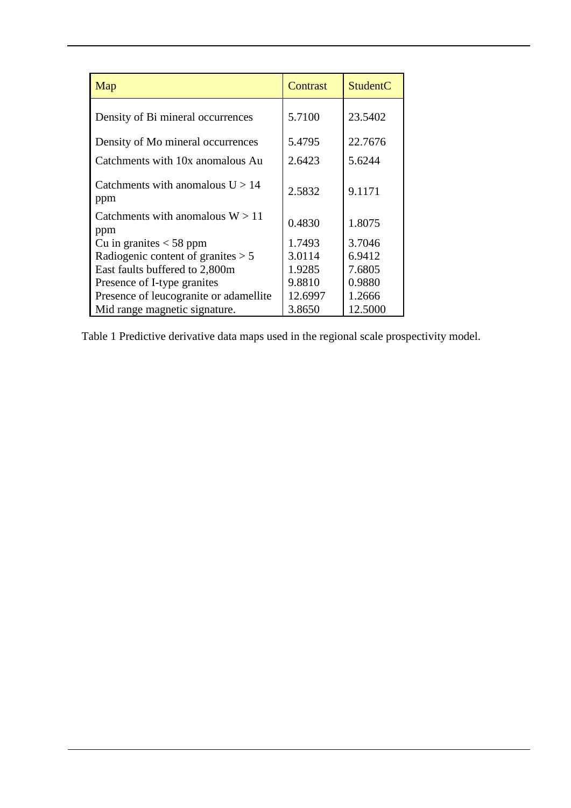| Map                                       | Contrast | StudentC |
|-------------------------------------------|----------|----------|
| Density of Bi mineral occurrences         | 5.7100   | 23.5402  |
| Density of Mo mineral occurrences         | 5.4795   | 22.7676  |
| Catchments with 10x anomalous Au          | 2.6423   | 5.6244   |
| Catchments with anomalous $U > 14$<br>ppm | 2.5832   | 9.1171   |
| Catchments with anomalous $W > 11$<br>ppm | 0.4830   | 1.8075   |
| Cu in granites $<$ 58 ppm                 | 1.7493   | 3.7046   |
| Radiogenic content of granites $> 5$      | 3.0114   | 6.9412   |
| East faults buffered to 2,800m            | 1.9285   | 7.6805   |
| Presence of I-type granites               | 9.8810   | 0.9880   |
| Presence of leucogranite or adamellite    | 12.6997  | 1.2666   |
| Mid range magnetic signature.             | 3.8650   | 12.5000  |

Table 1 Predictive derivative data maps used in the regional scale prospectivity model.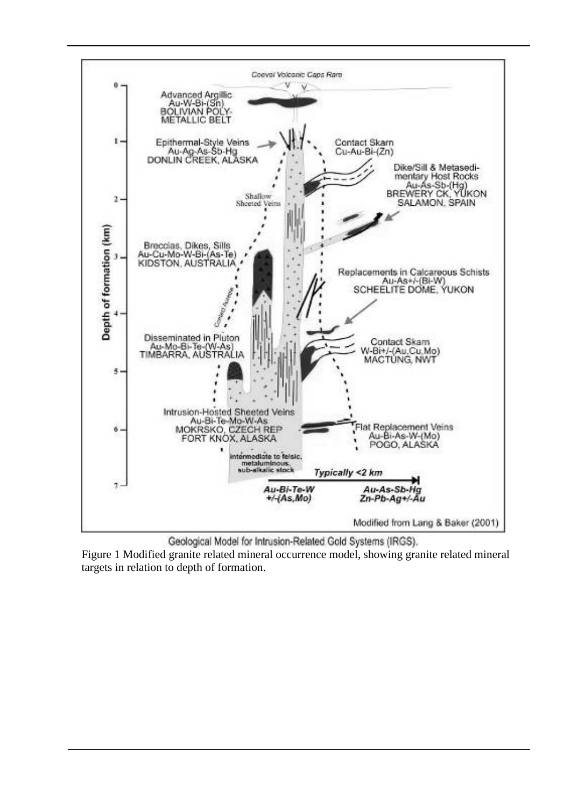

Geological Model for Intrusion-Related Gold Systems (IRGS).

Figure 1 Modified granite related mineral occurrence model, showing granite related mineral targets in relation to depth of formation.